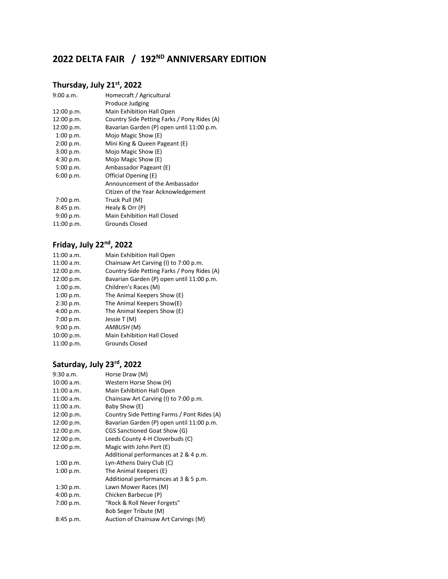# **2022 DELTA FAIR / 192ND ANNIVERSARY EDITION**

### **Thursday, July 21st, 2022**

| 9:00 a.m.  | Homecraft / Agricultural                    |
|------------|---------------------------------------------|
|            | Produce Judging                             |
| 12:00 p.m. | Main Exhibition Hall Open                   |
| 12:00 p.m. | Country Side Petting Farks / Pony Rides (A) |
| 12:00 p.m. | Bavarian Garden (P) open until 11:00 p.m.   |
| 1:00 p.m.  | Mojo Magic Show (E)                         |
| 2:00 p.m.  | Mini King & Queen Pageant (E)               |
| 3:00 p.m.  | Mojo Magic Show (E)                         |
| 4:30 p.m.  | Mojo Magic Show (E)                         |
| 5:00 p.m.  | Ambassador Pageant (E)                      |
| 6:00 p.m.  | Official Opening (E)                        |
|            | Announcement of the Ambassador              |
|            | Citizen of the Year Acknowledgement         |
| 7:00 p.m.  | Truck Pull (M)                              |
| 8:45 p.m.  | Healy & Orr (P)                             |
| 9:00 p.m.  | Main Exhibition Hall Closed                 |
| 11:00 p.m. | Grounds Closed                              |
|            |                                             |

## **Friday, July 22nd, 2022**

| 11:00 a.m. | Main Exhibition Hall Open                   |
|------------|---------------------------------------------|
| 11:00 a.m. | Chainsaw Art Carving (I) to 7:00 p.m.       |
| 12:00 p.m. | Country Side Petting Farks / Pony Rides (A) |
| 12:00 p.m. | Bavarian Garden (P) open until 11:00 p.m.   |
| 1:00 p.m.  | Children's Races (M)                        |
| 1:00 p.m.  | The Animal Keepers Show (E)                 |
| 2:30 p.m.  | The Animal Keepers Show(E)                  |
| 4:00 p.m.  | The Animal Keepers Show (E)                 |
| 7:00 p.m.  | Jessie T (M)                                |
| 9:00 p.m.  | AMBUSH (M)                                  |
| 10:00 p.m. | <b>Main Exhibition Hall Closed</b>          |
| 11:00 p.m. | <b>Grounds Closed</b>                       |

# **Saturday, July 23rd, 2022**

| Horse Draw (M)                              |
|---------------------------------------------|
| Western Horse Show (H)                      |
| Main Exhibition Hall Open                   |
| Chainsaw Art Carving (I) to 7:00 p.m.       |
| Baby Show (E)                               |
| Country Side Petting Farms / Pont Rides (A) |
| Bavarian Garden (P) open until 11:00 p.m.   |
| CGS Sanctioned Goat Show (G)                |
| Leeds County 4-H Cloverbuds (C)             |
| Magic with John Pert (E)                    |
| Additional performances at 2 & 4 p.m.       |
| Lyn-Athens Dairy Club (C)                   |
| The Animal Keepers (E)                      |
| Additional performances at 3 & 5 p.m.       |
| Lawn Mower Races (M)                        |
| Chicken Barbecue (P)                        |
| "Rock & Roll Never Forgets"                 |
| Bob Seger Tribute (M)                       |
| Auction of Chainsaw Art Carvings (M)        |
|                                             |